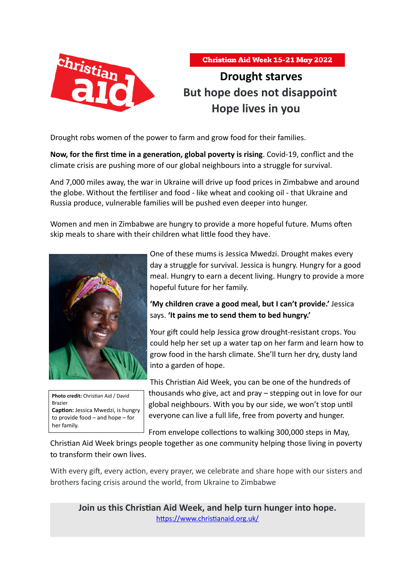



# **Drought starves But hope does not disappoint Hope lives in you**

Drought robs women of the power to farm and grow food for their families.

**Now, for the first time in a generation, global poverty is rising**. Covid-19, conflict and the climate crisis are pushing more of our global neighbours into a struggle for survival.

And 7,000 miles away, the war in Ukraine will drive up food prices in Zimbabwe and around the globe. Without the fertiliser and food - like wheat and cooking oil - that Ukraine and Russia produce, vulnerable families will be pushed even deeper into hunger.

Women and men in Zimbabwe are hungry to provide a more hopeful future. Mums often skip meals to share with their children what little food they have.





One of these mums is Jessica Mwedzi. Drought makes every day a struggle for survival. Jessica is hungry. Hungry for a good meal. Hungry to earn a decent living. Hungry to provide a more hopeful future for her family.

**'My children crave a good meal, but I can't provide.'** Jessica says. **'It pains me to send them to bed hungry.'**

Your gift could help Jessica grow drought-resistant crops. You could help her set up a water tap on her farm and learn how to grow food in the harsh climate. She'll turn her dry, dusty land into a garden of hope.

This Christian Aid Week, you can be one of the hundreds of thousands who give, act and pray – stepping out in love for our global neighbours. With you by our side, we won't stop until everyone can live a full life, free from poverty and hunger.

From envelope collections to walking 300,000 steps in May,

Christian Aid Week brings people together as one community helping those living in poverty to transform their own lives.

With every gift, every action, every prayer, we celebrate and share hope with our sisters and brothers facing crisis around the world, from Ukraine to Zimbabwe

**Join us this Christian Aid Week, and help turn hunger into hope.** <https://www.christianaid.org.uk/>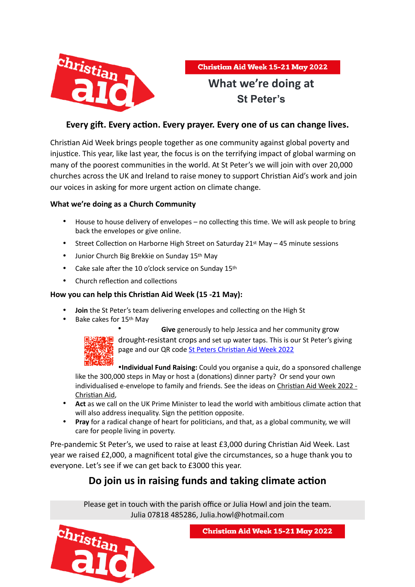

# **What we're doing at St Peter's**

### **Every gift. Every action. Every prayer. Every one of us can change lives.**

Christian Aid Week brings people together as one community against global poverty and injustice. This year, like last year, the focus is on the terrifying impact of global warming on many of the poorest communities in the world. At St Peter's we will join with over 20,000 churches across the UK and Ireland to raise money to support Christian Aid's work and join our voices in asking for more urgent action on climate change.

### **What we're doing as a Church Community**

- House to house delivery of envelopes no collecting this time. We will ask people to bring back the envelopes or give online.
- Street Collection on Harborne High Street on Saturday 21st May 45 minute sessions
- Junior Church Big Brekkie on Sunday 15th May
- Cake sale after the 10 o'clock service on Sunday 15th
- Church reflection and collections

### **How you can help this Christian Aid Week (15 -21 May):**

- **Join** the St Peter's team delivering envelopes and collecting on the High St
- Bake cakes for 15th May



• **Give** generously to help Jessica and her community grow <mark>機</mark> drought-resistant crops and set up water taps. This is our St Peter's giving page and our QR code [St Peters Christian Aid Week 2022](https://giving.give-star.com/online/christian-aid/harborne-st-peters-christian-aid-week)

•**Individual Fund Raising:** Could you organise a quiz, do a sponsored challenge like the 300,000 steps in May or host a (donations) dinner party? Or send your own individualised e-envelope to family and friends. See the ideas on [Christian Aid Week 2022 -](https://www.christianaid.org.uk/appeals/key-appeals/christian-aid-week)  [Christian Aid](https://www.christianaid.org.uk/appeals/key-appeals/christian-aid-week),

- **Act** as we call on the UK Prime Minister to lead the world with ambitious climate action that will also address inequality. Sign the petition opposite.
- **Pray** for a radical change of heart for politicians, and that, as a global community, we will care for people living in poverty.

Pre-pandemic St Peter's, we used to raise at least £3,000 during Christian Aid Week. Last year we raised £2,000, a magnificent total give the circumstances, so a huge thank you to everyone. Let's see if we can get back to £3000 this year.

### **Do join us in raising funds and taking climate action**

Please get in touch with the parish office or Julia Howl and join the team. Julia 07818 485286, Julia.howl@hotmail.com



**Christian Aid Week 15-21 May 2022**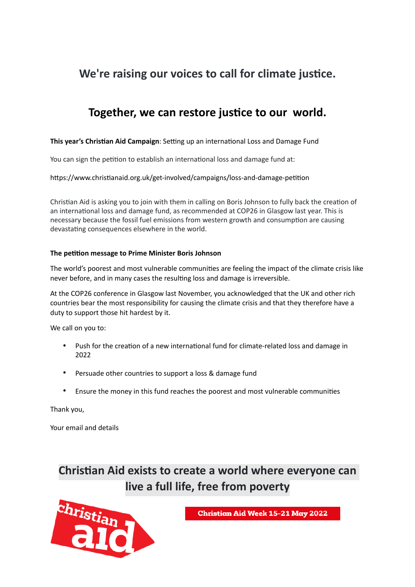## **We're raising our voices to call for climate justice.**

## **Together, we can restore justice to our world.**

### **This year's Christian Aid Campaign**: Setting up an international Loss and Damage Fund

You can sign the petition to establish an international loss and damage fund at:

https://www.christianaid.org.uk/get-involved/campaigns/loss-and-damage-petition

Christian Aid is asking you to join with them in calling on Boris Johnson to fully back the creation of an international loss and damage fund, as recommended at COP26 in Glasgow last year. This is necessary because the fossil fuel emissions from western growth and consumption are causing devastating consequences elsewhere in the world.

#### **The petition message to Prime Minister Boris Johnson**

The world's poorest and most vulnerable communities are feeling the impact of the climate crisis like never before, and in many cases the resulting loss and damage is irreversible.

At the COP26 conference in Glasgow last November, you acknowledged that the UK and other rich countries bear the most responsibility for causing the climate crisis and that they therefore have a duty to support those hit hardest by it.

We call on you to:

- Push for the creation of a new international fund for climate-related loss and damage in 2022
- Persuade other countries to support a loss & damage fund
- Ensure the money in this fund reaches the poorest and most vulnerable communities

Thank you,

Your email and details

**Christian Aid exists to create a world where everyone can live a full life, free from poverty**



**Christian Aid Week 15-21 May 2022**